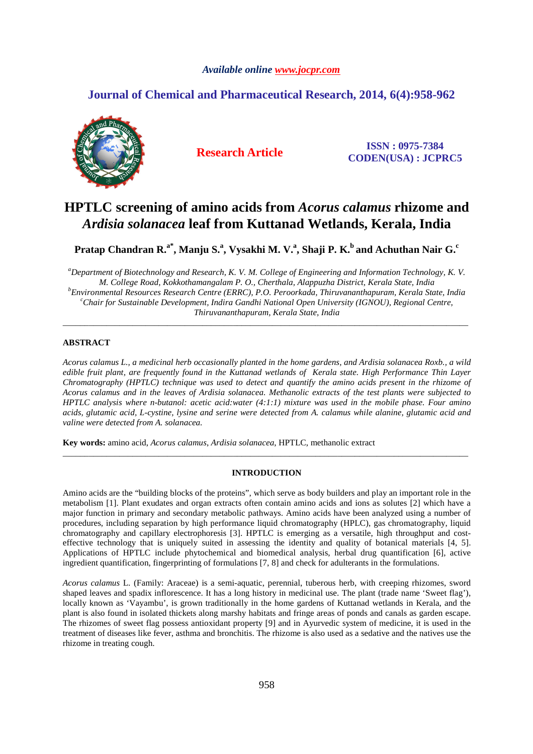# *Available online www.jocpr.com*

# **Journal of Chemical and Pharmaceutical Research, 2014, 6(4):958-962**



**Research Article ISSN : 0975-7384 CODEN(USA) : JCPRC5**

# **HPTLC screening of amino acids from** *Acorus calamus* **rhizome and**  *Ardisia solanacea* **leaf from Kuttanad Wetlands, Kerala, India**

**Pratap Chandran R.a\*, Manju S.<sup>a</sup> , Vysakhi M. V.<sup>a</sup> , Shaji P. K.<sup>b</sup>and Achuthan Nair G.<sup>c</sup>**

*<sup>a</sup>Department of Biotechnology and Research, K. V. M. College of Engineering and Information Technology, K. V. M. College Road, Kokkothamangalam P. O., Cherthala, Alappuzha District, Kerala State, India <sup>b</sup>Environmental Resources Research Centre (ERRC), P.O. Peroorkada, Thiruvananthapuram, Kerala State, India <sup>c</sup>Chair for Sustainable Development, Indira Gandhi National Open University (IGNOU), Regional Centre, Thiruvananthapuram, Kerala State, India* 

\_\_\_\_\_\_\_\_\_\_\_\_\_\_\_\_\_\_\_\_\_\_\_\_\_\_\_\_\_\_\_\_\_\_\_\_\_\_\_\_\_\_\_\_\_\_\_\_\_\_\_\_\_\_\_\_\_\_\_\_\_\_\_\_\_\_\_\_\_\_\_\_\_\_\_\_\_\_\_\_\_\_\_\_\_\_\_\_\_\_\_\_\_

# **ABSTRACT**

*Acorus calamus L., a medicinal herb occasionally planted in the home gardens, and Ardisia solanacea Roxb., a wild edible fruit plant, are frequently found in the Kuttanad wetlands of Kerala state. High Performance Thin Layer Chromatography (HPTLC) technique was used to detect and quantify the amino acids present in the rhizome of Acorus calamus and in the leaves of Ardisia solanacea. Methanolic extracts of the test plants were subjected to HPTLC analysis where n-butanol: acetic acid:water (4:1:1) mixture was used in the mobile phase. Four amino acids, glutamic acid, L-cystine, lysine and serine were detected from A. calamus while alanine, glutamic acid and valine were detected from A. solanacea.* 

**Key words:** amino acid, *Acorus calamus*, *Ardisia solanacea*, HPTLC, methanolic extract

## **INTRODUCTION**

\_\_\_\_\_\_\_\_\_\_\_\_\_\_\_\_\_\_\_\_\_\_\_\_\_\_\_\_\_\_\_\_\_\_\_\_\_\_\_\_\_\_\_\_\_\_\_\_\_\_\_\_\_\_\_\_\_\_\_\_\_\_\_\_\_\_\_\_\_\_\_\_\_\_\_\_\_\_\_\_\_\_\_\_\_\_\_\_\_\_\_\_\_

Amino acids are the "building blocks of the proteins", which serve as body builders and play an important role in the metabolism [1]. Plant exudates and organ extracts often contain amino acids and ions as solutes [2] which have a major function in primary and secondary metabolic pathways. Amino acids have been analyzed using a number of procedures, including separation by high performance liquid chromatography (HPLC), gas chromatography, liquid chromatography and capillary electrophoresis [3]. HPTLC is emerging as a versatile, high throughput and costeffective technology that is uniquely suited in assessing the identity and quality of botanical materials [4, 5]. Applications of HPTLC include phytochemical and biomedical analysis, herbal drug quantification [6], active ingredient quantification, fingerprinting of formulations [7, 8] and check for adulterants in the formulations.

*Acorus calamus* L. (Family: Araceae) is a semi-aquatic, perennial, tuberous herb, with creeping rhizomes, sword shaped leaves and spadix inflorescence. It has a long history in medicinal use. The plant (trade name 'Sweet flag'), locally known as 'Vayambu', is grown traditionally in the home gardens of Kuttanad wetlands in Kerala, and the plant is also found in isolated thickets along marshy habitats and fringe areas of ponds and canals as garden escape. The rhizomes of sweet flag possess antioxidant property [9] and in Ayurvedic system of medicine, it is used in the treatment of diseases like fever, asthma and bronchitis. The rhizome is also used as a sedative and the natives use the rhizome in treating cough.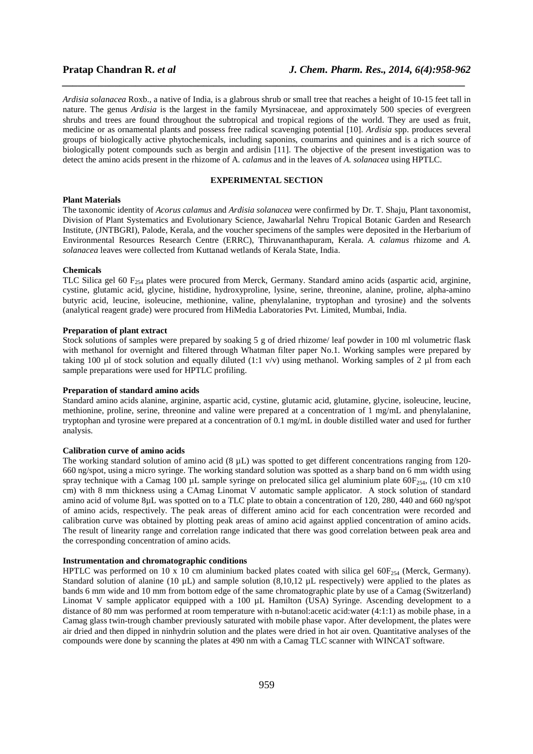*Ardisia solanacea* Roxb., a native of India, is a glabrous shrub or small tree that reaches a height of 10-15 feet tall in nature. The genus *Ardisia* is the largest in the family Myrsinaceae, and approximately 500 species of evergreen shrubs and trees are found throughout the subtropical and tropical regions of the world. They are used as fruit, medicine or as ornamental plants and possess free radical scavenging potential [10]. *Ardisia* spp. produces several groups of biologically active phytochemicals, including saponins, coumarins and quinines and is a rich source of biologically potent compounds such as bergin and ardisin [11]. The objective of the present investigation was to detect the amino acids present in the rhizome of A*. calamus* and in the leaves of *A. solanacea* using HPTLC.

*\_\_\_\_\_\_\_\_\_\_\_\_\_\_\_\_\_\_\_\_\_\_\_\_\_\_\_\_\_\_\_\_\_\_\_\_\_\_\_\_\_\_\_\_\_\_\_\_\_\_\_\_\_\_\_\_\_\_\_\_\_\_\_\_\_\_\_\_\_\_\_\_\_\_\_\_\_*

# **EXPERIMENTAL SECTION**

### **Plant Materials**

The taxonomic identity of *Acorus calamus* and *Ardisia solanacea* were confirmed by Dr. T. Shaju, Plant taxonomist, Division of Plant Systematics and Evolutionary Science, Jawaharlal Nehru Tropical Botanic Garden and Research Institute, (JNTBGRI), Palode, Kerala, and the voucher specimens of the samples were deposited in the Herbarium of Environmental Resources Research Centre (ERRC), Thiruvananthapuram, Kerala. *A. calamus* rhizome and *A. solanacea* leaves were collected from Kuttanad wetlands of Kerala State, India.

### **Chemicals**

TLC Silica gel 60 F<sub>254</sub> plates were procured from Merck, Germany. Standard amino acids (aspartic acid, arginine, cystine, glutamic acid, glycine, histidine, hydroxyproline, lysine, serine, threonine, alanine, proline, alpha-amino butyric acid, leucine, isoleucine, methionine, valine, phenylalanine, tryptophan and tyrosine) and the solvents (analytical reagent grade) were procured from HiMedia Laboratories Pvt. Limited, Mumbai, India.

### **Preparation of plant extract**

Stock solutions of samples were prepared by soaking 5 g of dried rhizome/ leaf powder in 100 ml volumetric flask with methanol for overnight and filtered through Whatman filter paper No.1. Working samples were prepared by taking 100 µl of stock solution and equally diluted (1:1 v/v) using methanol. Working samples of 2 µl from each sample preparations were used for HPTLC profiling.

### **Preparation of standard amino acids**

Standard amino acids alanine, arginine, aspartic acid, cystine, glutamic acid, glutamine, glycine, isoleucine, leucine, methionine, proline, serine, threonine and valine were prepared at a concentration of 1 mg/mL and phenylalanine, tryptophan and tyrosine were prepared at a concentration of 0.1 mg/mL in double distilled water and used for further analysis.

#### **Calibration curve of amino acids**

The working standard solution of amino acid (8 µL) was spotted to get different concentrations ranging from 120- 660 ng/spot, using a micro syringe. The working standard solution was spotted as a sharp band on 6 mm width using spray technique with a Camag 100 µL sample syringe on prelocated silica gel aluminium plate  $60F_{254}$ , (10 cm x10 cm) with 8 mm thickness using a CAmag Linomat V automatic sample applicator. A stock solution of standard amino acid of volume 8µL was spotted on to a TLC plate to obtain a concentration of 120, 280, 440 and 660 ng/spot of amino acids, respectively. The peak areas of different amino acid for each concentration were recorded and calibration curve was obtained by plotting peak areas of amino acid against applied concentration of amino acids. The result of linearity range and correlation range indicated that there was good correlation between peak area and the corresponding concentration of amino acids.

#### **Instrumentation and chromatographic conditions**

HPTLC was performed on 10 x 10 cm aluminium backed plates coated with silica gel 60 $F_{254}$  (Merck, Germany). Standard solution of alanine (10  $\mu$ L) and sample solution (8,10,12  $\mu$ L respectively) were applied to the plates as bands 6 mm wide and 10 mm from bottom edge of the same chromatographic plate by use of a Camag (Switzerland) Linomat V sample applicator equipped with a 100 µL Hamilton (USA) Syringe. Ascending development to a distance of 80 mm was performed at room temperature with n-butanol:acetic acid:water (4:1:1) as mobile phase, in a Camag glass twin-trough chamber previously saturated with mobile phase vapor. After development, the plates were air dried and then dipped in ninhydrin solution and the plates were dried in hot air oven. Quantitative analyses of the compounds were done by scanning the plates at 490 nm with a Camag TLC scanner with WINCAT software.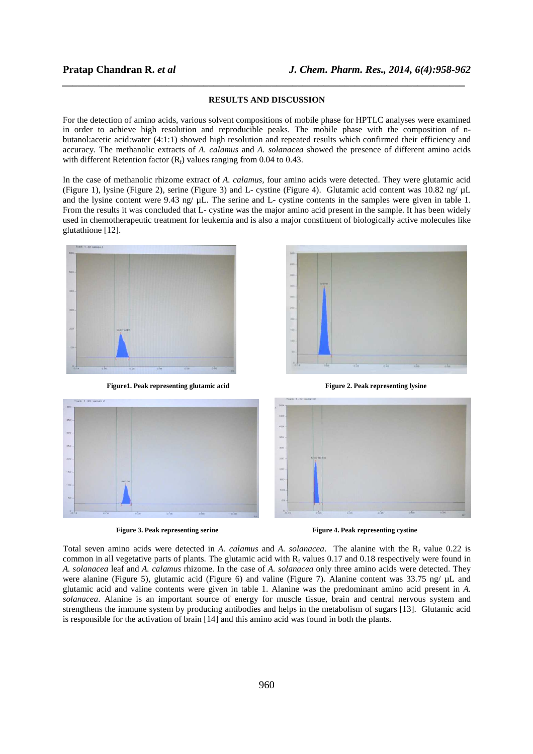### **RESULTS AND DISCUSSION**

*\_\_\_\_\_\_\_\_\_\_\_\_\_\_\_\_\_\_\_\_\_\_\_\_\_\_\_\_\_\_\_\_\_\_\_\_\_\_\_\_\_\_\_\_\_\_\_\_\_\_\_\_\_\_\_\_\_\_\_\_\_\_\_\_\_\_\_\_\_\_\_\_\_\_\_\_\_*

For the detection of amino acids, various solvent compositions of mobile phase for HPTLC analyses were examined in order to achieve high resolution and reproducible peaks. The mobile phase with the composition of nbutanol:acetic acid:water (4:1:1) showed high resolution and repeated results which confirmed their efficiency and accuracy*.* The methanolic extracts of *A. calamus* and *A. solanacea* showed the presence of different amino acids with different Retention factor  $(R_f)$  values ranging from 0.04 to 0.43.

In the case of methanolic rhizome extract of *A. calamus,* four amino acids were detected. They were glutamic acid (Figure 1), lysine (Figure 2), serine (Figure 3) and L- cystine (Figure 4). Glutamic acid content was 10.82 ng/ µL and the lysine content were 9.43 ng/  $\mu$ L. The serine and L- cystine contents in the samples were given in table 1. From the results it was concluded that L- cystine was the major amino acid present in the sample. It has been widely used in chemotherapeutic treatment for leukemia and is also a major constituent of biologically active molecules like glutathione [12].



**Figure1. Peak representing glutamic acid Figure 2. Peak representing lysine** 



**Figure 3. Peak representing serine Figure 4. Peak representing cystine**  $\blacksquare$  **Figure 4. Peak representing cystine** 

Total seven amino acids were detected in *A. calamus* and *A. solanacea*. The alanine with the R<sub>f</sub> value 0.22 is common in all vegetative parts of plants. The glutamic acid with  $R_f$  values 0.17 and 0.18 respectively were found in *A. solanacea* leaf and *A. calamus* rhizome. In the case of *A. solanacea* only three amino acids were detected. They were alanine (Figure 5), glutamic acid (Figure 6) and valine (Figure 7). Alanine content was 33.75 ng/  $\mu$ L and glutamic acid and valine contents were given in table 1. Alanine was the predominant amino acid present in *A. solanacea*. Alanine is an important source of energy for muscle tissue, brain and central nervous system and strengthens the immune system by producing antibodies and helps in the metabolism of sugars [13]. Glutamic acid is responsible for the activation of brain [14] and this amino acid was found in both the plants.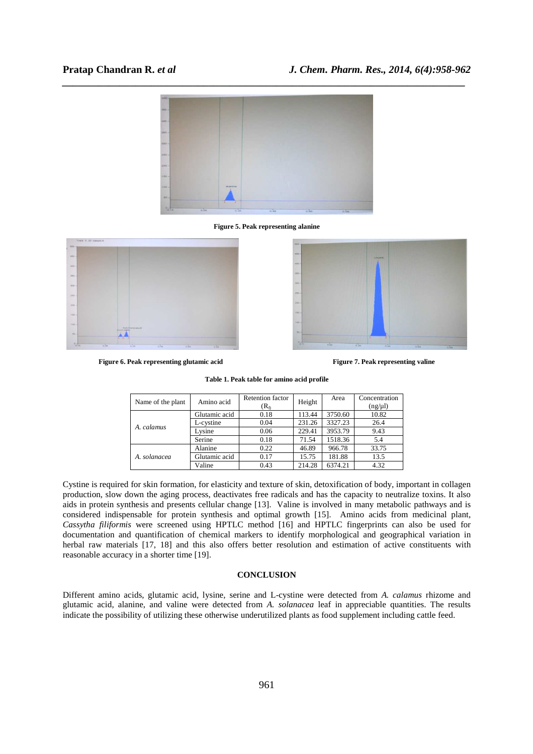# **Pratap Chandran R.** *et al**J. Chem. Pharm. Res., 2014, 6(4):958-962*



**Figure 5. Peak representing alanine** 



**Figure 6. Peak representing glutamic acid Figure 7. Peak representing valine Figure 7. Peak representing valine** 



| Table 1. Peak table for amino acid profile |  |  |  |  |  |  |
|--------------------------------------------|--|--|--|--|--|--|
|--------------------------------------------|--|--|--|--|--|--|

| Name of the plant | Amino acid    | <b>Retention</b> factor | Height | Area    | Concentration |
|-------------------|---------------|-------------------------|--------|---------|---------------|
|                   |               | $(R_0$                  |        |         | $(ng/\mu l)$  |
| A. calamus        | Glutamic acid | 0.18                    | 113.44 | 3750.60 | 10.82         |
|                   | L-cystine     | 0.04                    | 231.26 | 3327.23 | 26.4          |
|                   | Lysine        | 0.06                    | 229.41 | 3953.79 | 9.43          |
|                   | Serine        | 0.18                    | 71.54  | 1518.36 | 5.4           |
|                   | Alanine       | 0.22                    | 46.89  | 966.78  | 33.75         |
| A. solanacea      | Glutamic acid | 0.17                    | 15.75  | 181.88  | 13.5          |
|                   | Valine        | 0.43                    | 214.28 | 6374.21 | 4.32          |

Cystine is required for skin formation, for elasticity and texture of skin, detoxification of body, important in collagen production, slow down the aging process, deactivates free radicals and has the capacity to neutralize toxins. It also aids in protein synthesis and presents cellular change [13]. Valine is involved in many metabolic pathways and is considered indispensable for protein synthesis and optimal growth [15]. Amino acids from medicinal plant, *Cassytha filiformis* were screened using HPTLC method [16] and HPTLC fingerprints can also be used for documentation and quantification of chemical markers to identify morphological and geographical variation in herbal raw materials [17, 18] and this also offers better resolution and estimation of active constituents with reasonable accuracy in a shorter time [19].

### **CONCLUSION**

Different amino acids, glutamic acid, lysine, serine and L-cystine were detected from *A. calamus* rhizome and glutamic acid, alanine, and valine were detected from *A. solanacea* leaf in appreciable quantities. The results indicate the possibility of utilizing these otherwise underutilized plants as food supplement including cattle feed.